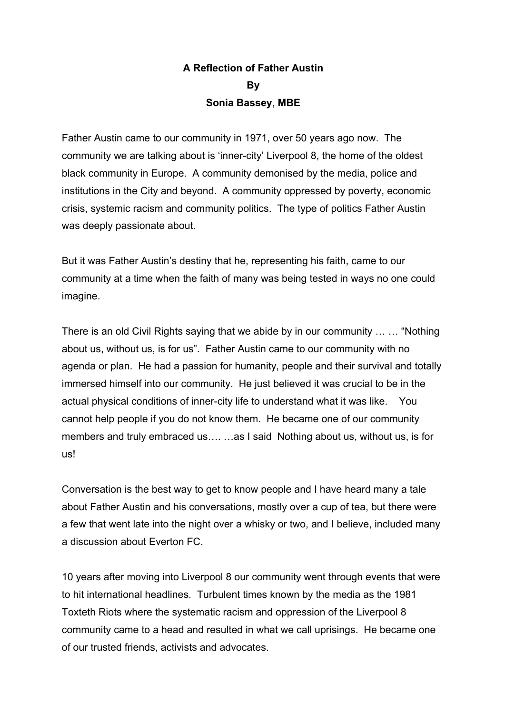## **A Reflection of Father Austin By Sonia Bassey, MBE**

Father Austin came to our community in 1971, over 50 years ago now. The community we are talking about is 'inner-city' Liverpool 8, the home of the oldest black community in Europe. A community demonised by the media, police and institutions in the City and beyond. A community oppressed by poverty, economic crisis, systemic racism and community politics. The type of politics Father Austin was deeply passionate about.

But it was Father Austin's destiny that he, representing his faith, came to our community at a time when the faith of many was being tested in ways no one could imagine.

There is an old Civil Rights saying that we abide by in our community … … "Nothing about us, without us, is for us". Father Austin came to our community with no agenda or plan. He had a passion for humanity, people and their survival and totally immersed himself into our community. He just believed it was crucial to be in the actual physical conditions of inner-city life to understand what it was like. You cannot help people if you do not know them. He became one of our community members and truly embraced us…. …as I said Nothing about us, without us, is for us!

Conversation is the best way to get to know people and I have heard many a tale about Father Austin and his conversations, mostly over a cup of tea, but there were a few that went late into the night over a whisky or two, and I believe, included many a discussion about Everton FC.

10 years after moving into Liverpool 8 our community went through events that were to hit international headlines. Turbulent times known by the media as the 1981 Toxteth Riots where the systematic racism and oppression of the Liverpool 8 community came to a head and resulted in what we call uprisings. He became one of our trusted friends, activists and advocates.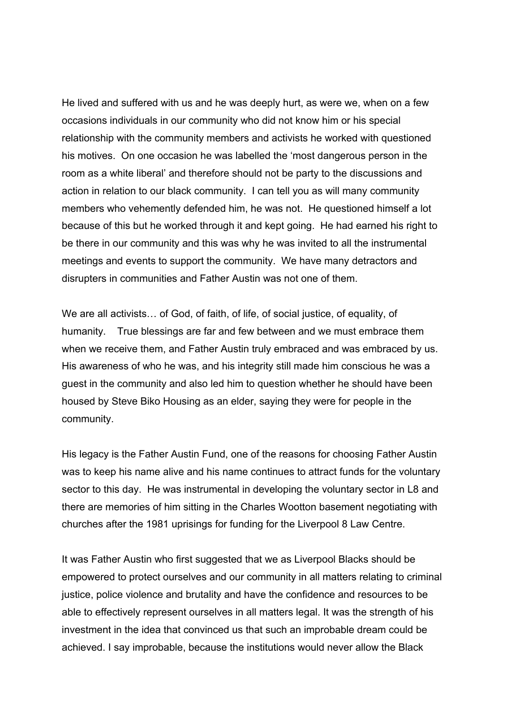He lived and suffered with us and he was deeply hurt, as were we, when on a few occasions individuals in our community who did not know him or his special relationship with the community members and activists he worked with questioned his motives. On one occasion he was labelled the 'most dangerous person in the room as a white liberal' and therefore should not be party to the discussions and action in relation to our black community. I can tell you as will many community members who vehemently defended him, he was not. He questioned himself a lot because of this but he worked through it and kept going. He had earned his right to be there in our community and this was why he was invited to all the instrumental meetings and events to support the community. We have many detractors and disrupters in communities and Father Austin was not one of them.

We are all activists… of God, of faith, of life, of social justice, of equality, of humanity. True blessings are far and few between and we must embrace them when we receive them, and Father Austin truly embraced and was embraced by us. His awareness of who he was, and his integrity still made him conscious he was a guest in the community and also led him to question whether he should have been housed by Steve Biko Housing as an elder, saying they were for people in the community.

His legacy is the Father Austin Fund, one of the reasons for choosing Father Austin was to keep his name alive and his name continues to attract funds for the voluntary sector to this day. He was instrumental in developing the voluntary sector in L8 and there are memories of him sitting in the Charles Wootton basement negotiating with churches after the 1981 uprisings for funding for the Liverpool 8 Law Centre.

It was Father Austin who first suggested that we as Liverpool Blacks should be empowered to protect ourselves and our community in all matters relating to criminal justice, police violence and brutality and have the confidence and resources to be able to effectively represent ourselves in all matters legal. It was the strength of his investment in the idea that convinced us that such an improbable dream could be achieved. I say improbable, because the institutions would never allow the Black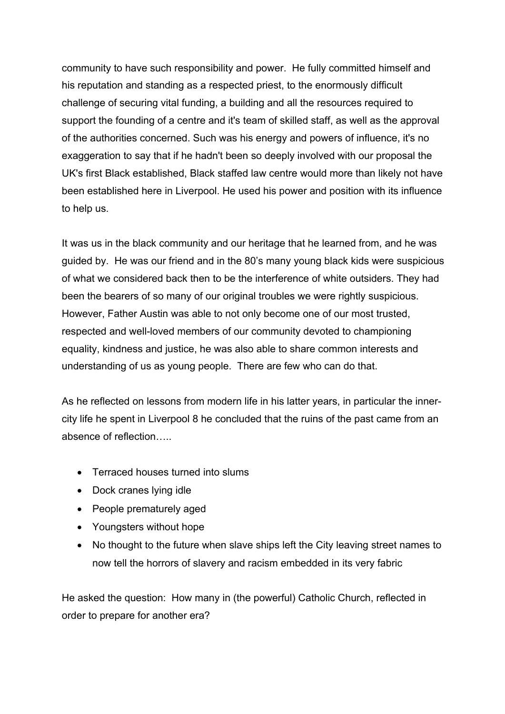community to have such responsibility and power. He fully committed himself and his reputation and standing as a respected priest, to the enormously difficult challenge of securing vital funding, a building and all the resources required to support the founding of a centre and it's team of skilled staff, as well as the approval of the authorities concerned. Such was his energy and powers of influence, it's no exaggeration to say that if he hadn't been so deeply involved with our proposal the UK's first Black established, Black staffed law centre would more than likely not have been established here in Liverpool. He used his power and position with its influence to help us.

It was us in the black community and our heritage that he learned from, and he was guided by. He was our friend and in the 80's many young black kids were suspicious of what we considered back then to be the interference of white outsiders. They had been the bearers of so many of our original troubles we were rightly suspicious. However, Father Austin was able to not only become one of our most trusted, respected and well-loved members of our community devoted to championing equality, kindness and justice, he was also able to share common interests and understanding of us as young people. There are few who can do that.

As he reflected on lessons from modern life in his latter years, in particular the innercity life he spent in Liverpool 8 he concluded that the ruins of the past came from an absence of reflection…..

- Terraced houses turned into slums
- Dock cranes lying idle
- People prematurely aged
- Youngsters without hope
- No thought to the future when slave ships left the City leaving street names to now tell the horrors of slavery and racism embedded in its very fabric

He asked the question: How many in (the powerful) Catholic Church, reflected in order to prepare for another era?